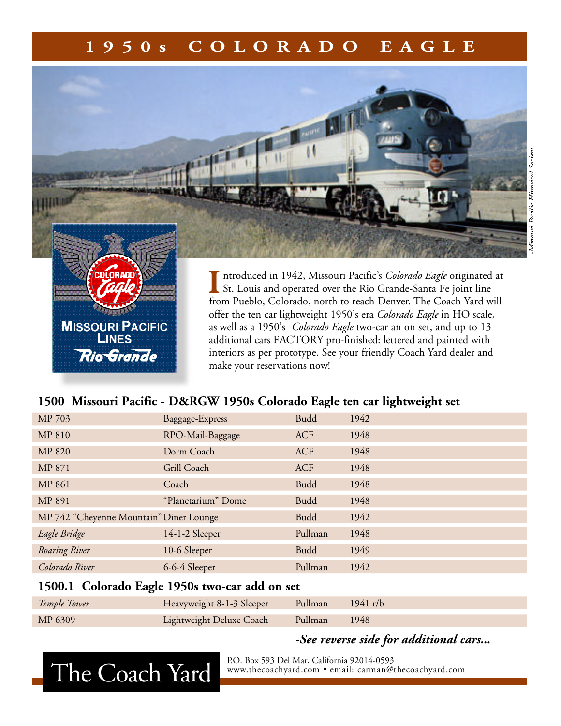## **1 9 5 0 s C O L O R A D O E A G L E**



offer the ten car lightweight 1950's era *Colorado Eagle* in HO scale, as well as a 1950's *Colorado Eagle* two-car an on set, and up to 13 additional cars FACTORY pro-finished: lettered and painted with interiors as per prototype. See your friendly Coach Yard dealer and make your reservations now!

#### **1500 Missouri Pacific - D&RGW 1950s Colorado Eagle ten car lightweight set**

| MP 703                                  | Baggage-Express    | <b>Budd</b> | 1942 |
|-----------------------------------------|--------------------|-------------|------|
| <b>MP 810</b>                           | RPO-Mail-Baggage   | <b>ACF</b>  | 1948 |
| <b>MP 820</b>                           | Dorm Coach         | <b>ACF</b>  | 1948 |
| MP 871                                  | Grill Coach        | ACF         | 1948 |
| <b>MP 861</b>                           | Coach              | <b>Budd</b> | 1948 |
| MP 891                                  | "Planetarium" Dome | <b>Budd</b> | 1948 |
| MP 742 "Cheyenne Mountain" Diner Lounge |                    | <b>Budd</b> | 1942 |
| Eagle Bridge                            | 14-1-2 Sleeper     | Pullman     | 1948 |
| Roaring River                           | 10-6 Sleeper       | <b>Budd</b> | 1949 |
| Colorado River                          | 6-6-4 Sleeper      | Pullman     | 1942 |

#### **1500.1 Colorado Eagle 1950s two-car add on set**

| Temple Tower | Heavyweight 8-1-3 Sleeper        | Pullman 1941 r/b |      |
|--------------|----------------------------------|------------------|------|
| MP 6309      | Lightweight Deluxe Coach Pullman |                  | 1948 |

*-See reverse side for additional cars...*



**MISSOURI PACIFIC** LINES

**Rio Grande** 

P.O. Box 593 Del Mar, California 92014-0593